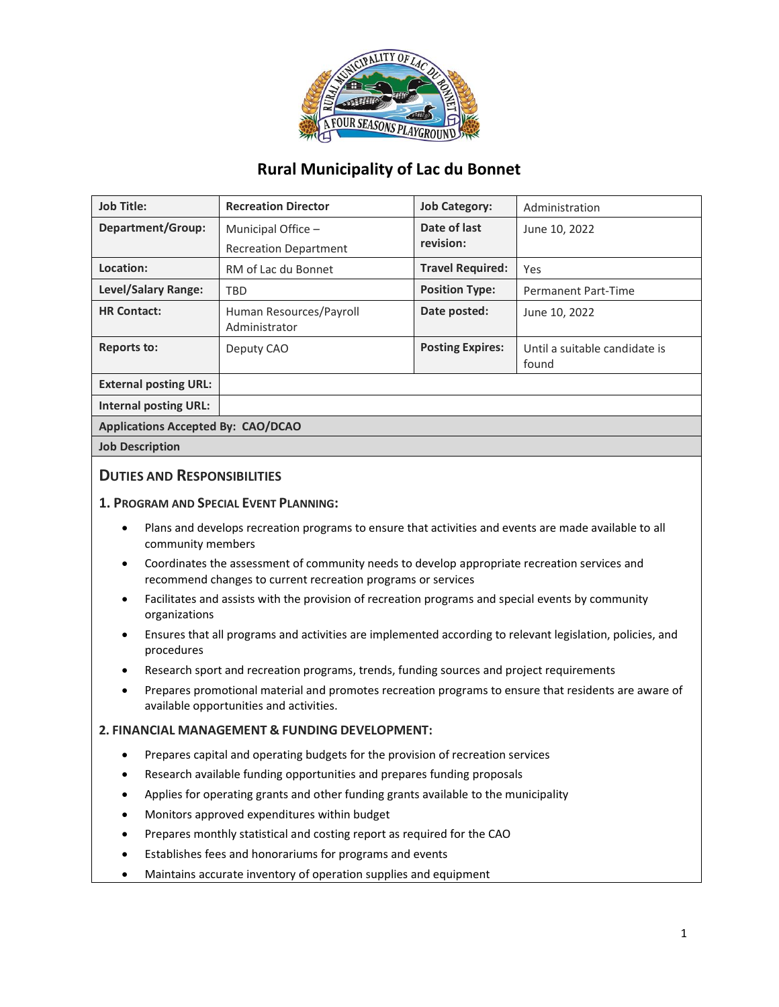

# **Rural Municipality of Lac du Bonnet**

| <b>Job Title:</b>            | <b>Recreation Director</b>               | <b>Job Category:</b>      | Administration                         |
|------------------------------|------------------------------------------|---------------------------|----------------------------------------|
| <b>Department/Group:</b>     | Municipal Office -                       | Date of last<br>revision: | June 10, 2022                          |
|                              | <b>Recreation Department</b>             |                           |                                        |
| Location:                    | RM of Lac du Bonnet                      | <b>Travel Required:</b>   | Yes                                    |
| Level/Salary Range:          | <b>TBD</b>                               | <b>Position Type:</b>     | <b>Permanent Part-Time</b>             |
| <b>HR Contact:</b>           | Human Resources/Payroll<br>Administrator | Date posted:              | June 10, 2022                          |
| <b>Reports to:</b>           | Deputy CAO                               | <b>Posting Expires:</b>   | Until a suitable candidate is<br>found |
| <b>External posting URL:</b> |                                          |                           |                                        |
| Internal posting URL:        |                                          |                           |                                        |
|                              |                                          |                           |                                        |

**Applications Accepted By: CAO/DCAO**

**Job Description**

## **DUTIES AND RESPONSIBILITIES**

#### **1. PROGRAM AND SPECIAL EVENT PLANNING:**

- Plans and develops recreation programs to ensure that activities and events are made available to all community members
- Coordinates the assessment of community needs to develop appropriate recreation services and recommend changes to current recreation programs or services
- Facilitates and assists with the provision of recreation programs and special events by community organizations
- Ensures that all programs and activities are implemented according to relevant legislation, policies, and procedures
- Research sport and recreation programs, trends, funding sources and project requirements
- Prepares promotional material and promotes recreation programs to ensure that residents are aware of available opportunities and activities.

### **2. FINANCIAL MANAGEMENT & FUNDING DEVELOPMENT:**

- Prepares capital and operating budgets for the provision of recreation services
- Research available funding opportunities and prepares funding proposals
- Applies for operating grants and other funding grants available to the municipality
- Monitors approved expenditures within budget
- Prepares monthly statistical and costing report as required for the CAO
- Establishes fees and honorariums for programs and events
- Maintains accurate inventory of operation supplies and equipment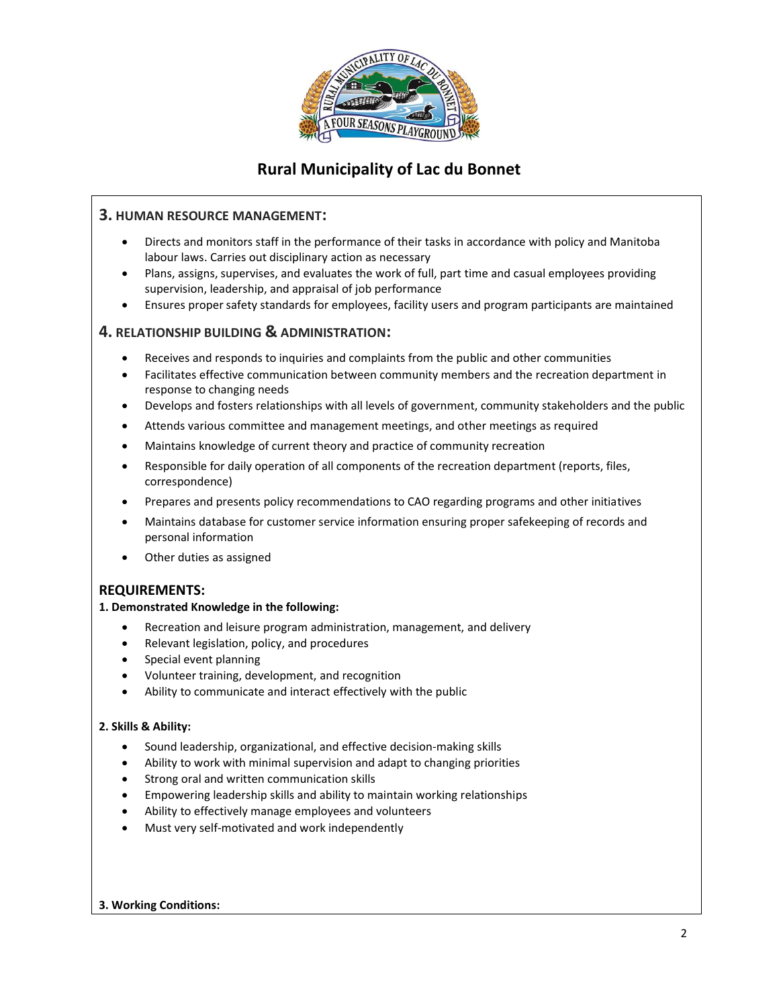

# **Rural Municipality of Lac du Bonnet**

### **3. HUMAN RESOURCE MANAGEMENT:**

- Directs and monitors staff in the performance of their tasks in accordance with policy and Manitoba labour laws. Carries out disciplinary action as necessary
- Plans, assigns, supervises, and evaluates the work of full, part time and casual employees providing supervision, leadership, and appraisal of job performance
- Ensures proper safety standards for employees, facility users and program participants are maintained

## **4. RELATIONSHIP BUILDING & ADMINISTRATION:**

- Receives and responds to inquiries and complaints from the public and other communities
- Facilitates effective communication between community members and the recreation department in response to changing needs
- Develops and fosters relationships with all levels of government, community stakeholders and the public
- Attends various committee and management meetings, and other meetings as required
- Maintains knowledge of current theory and practice of community recreation
- Responsible for daily operation of all components of the recreation department (reports, files, correspondence)
- Prepares and presents policy recommendations to CAO regarding programs and other initiatives
- Maintains database for customer service information ensuring proper safekeeping of records and personal information
- Other duties as assigned

## **REQUIREMENTS:**

### **1. Demonstrated Knowledge in the following:**

- Recreation and leisure program administration, management, and delivery
- Relevant legislation, policy, and procedures
- Special event planning
- Volunteer training, development, and recognition
- Ability to communicate and interact effectively with the public

### **2. Skills & Ability:**

- Sound leadership, organizational, and effective decision-making skills
- Ability to work with minimal supervision and adapt to changing priorities
- Strong oral and written communication skills
- Empowering leadership skills and ability to maintain working relationships
- Ability to effectively manage employees and volunteers
- Must very self-motivated and work independently

### **3. Working Conditions:**